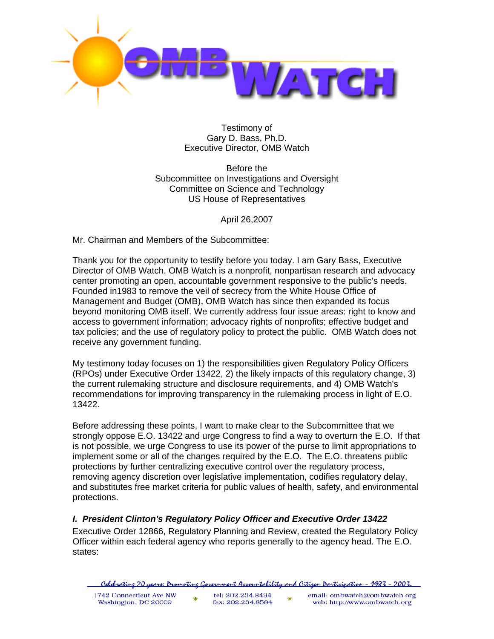

Testimony of Gary D. Bass, Ph.D. Executive Director, OMB Watch

Before the Subcommittee on Investigations and Oversight Committee on Science and Technology US House of Representatives

April 26,2007

Mr. Chairman and Members of the Subcommittee:

Thank you for the opportunity to testify before you today. I am Gary Bass, Executive Director of OMB Watch. OMB Watch is a nonprofit, nonpartisan research and advocacy center promoting an open, accountable government responsive to the public's needs. Founded in1983 to remove the veil of secrecy from the White House Office of Management and Budget (OMB), OMB Watch has since then expanded its focus beyond monitoring OMB itself. We currently address four issue areas: right to know and access to government information; advocacy rights of nonprofits; effective budget and tax policies; and the use of regulatory policy to protect the public. OMB Watch does not receive any government funding.

My testimony today focuses on 1) the responsibilities given Regulatory Policy Officers (RPOs) under Executive Order 13422, 2) the likely impacts of this regulatory change, 3) the current rulemaking structure and disclosure requirements, and 4) OMB Watch's recommendations for improving transparency in the rulemaking process in light of E.O. 13422.

Before addressing these points, I want to make clear to the Subcommittee that we strongly oppose E.O. 13422 and urge Congress to find a way to overturn the E.O. If that is not possible, we urge Congress to use its power of the purse to limit appropriations to implement some or all of the changes required by the E.O. The E.O. threatens public protections by further centralizing executive control over the regulatory process, removing agency discretion over legislative implementation, codifies regulatory delay, and substitutes free market criteria for public values of health, safety, and environmental protections.

# *I. President Clinton's Regulatory Policy Officer and Executive Order 13422*

Executive Order 12866, Regulatory Planning and Review, created the Regulatory Policy Officer within each federal agency who reports generally to the agency head. The E.O. states:

|  |  | . Celebratine 20 years: Dromotine Government Accountability and Citizen Darticipation - 1983 - 2003 |  |  |  |  |
|--|--|-----------------------------------------------------------------------------------------------------|--|--|--|--|
|  |  |                                                                                                     |  |  |  |  |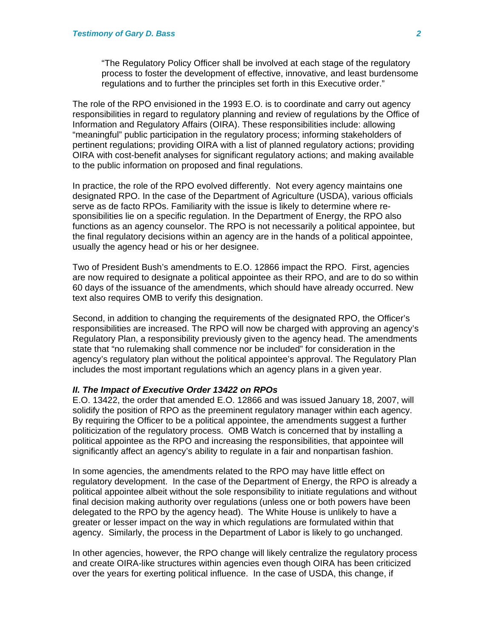"The Regulatory Policy Officer shall be involved at each stage of the regulatory process to foster the development of effective, innovative, and least burdensome regulations and to further the principles set forth in this Executive order."

The role of the RPO envisioned in the 1993 E.O. is to coordinate and carry out agency responsibilities in regard to regulatory planning and review of regulations by the Office of Information and Regulatory Affairs (OIRA). These responsibilities include: allowing "meaningful" public participation in the regulatory process; informing stakeholders of pertinent regulations; providing OIRA with a list of planned regulatory actions; providing OIRA with cost-benefit analyses for significant regulatory actions; and making available to the public information on proposed and final regulations.

In practice, the role of the RPO evolved differently. Not every agency maintains one designated RPO. In the case of the Department of Agriculture (USDA), various officials serve as de facto RPOs. Familiarity with the issue is likely to determine where responsibilities lie on a specific regulation. In the Department of Energy, the RPO also functions as an agency counselor. The RPO is not necessarily a political appointee, but the final regulatory decisions within an agency are in the hands of a political appointee, usually the agency head or his or her designee.

Two of President Bush's amendments to E.O. 12866 impact the RPO. First, agencies are now required to designate a political appointee as their RPO, and are to do so within 60 days of the issuance of the amendments, which should have already occurred. New text also requires OMB to verify this designation.

Second, in addition to changing the requirements of the designated RPO, the Officer's responsibilities are increased. The RPO will now be charged with approving an agency's Regulatory Plan, a responsibility previously given to the agency head. The amendments state that "no rulemaking shall commence nor be included" for consideration in the agency's regulatory plan without the political appointee's approval. The Regulatory Plan includes the most important regulations which an agency plans in a given year.

#### *II. The Impact of Executive Order 13422 on RPOs*

E.O. 13422, the order that amended E.O. 12866 and was issued January 18, 2007, will solidify the position of RPO as the preeminent regulatory manager within each agency. By requiring the Officer to be a political appointee, the amendments suggest a further politicization of the regulatory process. OMB Watch is concerned that by installing a political appointee as the RPO and increasing the responsibilities, that appointee will significantly affect an agency's ability to regulate in a fair and nonpartisan fashion.

In some agencies, the amendments related to the RPO may have little effect on regulatory development. In the case of the Department of Energy, the RPO is already a political appointee albeit without the sole responsibility to initiate regulations and without final decision making authority over regulations (unless one or both powers have been delegated to the RPO by the agency head). The White House is unlikely to have a greater or lesser impact on the way in which regulations are formulated within that agency. Similarly, the process in the Department of Labor is likely to go unchanged.

In other agencies, however, the RPO change will likely centralize the regulatory process and create OIRA-like structures within agencies even though OIRA has been criticized over the years for exerting political influence. In the case of USDA, this change, if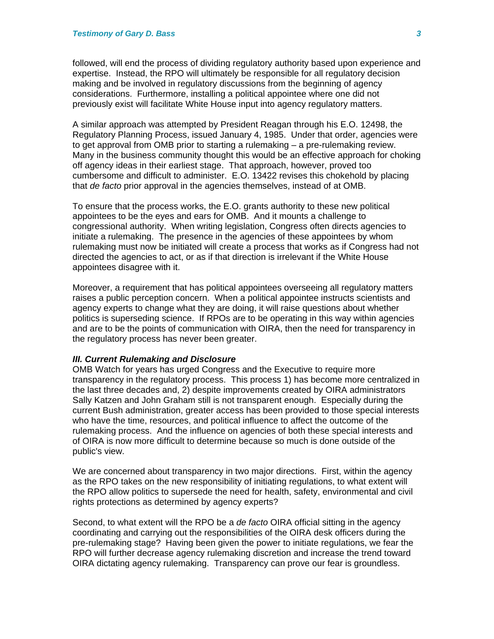followed, will end the process of dividing regulatory authority based upon experience and expertise. Instead, the RPO will ultimately be responsible for all regulatory decision making and be involved in regulatory discussions from the beginning of agency considerations. Furthermore, installing a political appointee where one did not previously exist will facilitate White House input into agency regulatory matters.

A similar approach was attempted by President Reagan through his E.O. 12498, the Regulatory Planning Process, issued January 4, 1985. Under that order, agencies were to get approval from OMB prior to starting a rulemaking – a pre-rulemaking review. Many in the business community thought this would be an effective approach for choking off agency ideas in their earliest stage. That approach, however, proved too cumbersome and difficult to administer. E.O. 13422 revises this chokehold by placing that *de facto* prior approval in the agencies themselves, instead of at OMB.

To ensure that the process works, the E.O. grants authority to these new political appointees to be the eyes and ears for OMB. And it mounts a challenge to congressional authority. When writing legislation, Congress often directs agencies to initiate a rulemaking. The presence in the agencies of these appointees by whom rulemaking must now be initiated will create a process that works as if Congress had not directed the agencies to act, or as if that direction is irrelevant if the White House appointees disagree with it.

Moreover, a requirement that has political appointees overseeing all regulatory matters raises a public perception concern. When a political appointee instructs scientists and agency experts to change what they are doing, it will raise questions about whether politics is superseding science. If RPOs are to be operating in this way within agencies and are to be the points of communication with OIRA, then the need for transparency in the regulatory process has never been greater.

#### *III. Current Rulemaking and Disclosure*

OMB Watch for years has urged Congress and the Executive to require more transparency in the regulatory process. This process 1) has become more centralized in the last three decades and, 2) despite improvements created by OIRA administrators Sally Katzen and John Graham still is not transparent enough. Especially during the current Bush administration, greater access has been provided to those special interests who have the time, resources, and political influence to affect the outcome of the rulemaking process. And the influence on agencies of both these special interests and of OIRA is now more difficult to determine because so much is done outside of the public's view.

We are concerned about transparency in two major directions. First, within the agency as the RPO takes on the new responsibility of initiating regulations, to what extent will the RPO allow politics to supersede the need for health, safety, environmental and civil rights protections as determined by agency experts?

Second, to what extent will the RPO be a *de facto* OIRA official sitting in the agency coordinating and carrying out the responsibilities of the OIRA desk officers during the pre-rulemaking stage? Having been given the power to initiate regulations, we fear the RPO will further decrease agency rulemaking discretion and increase the trend toward OIRA dictating agency rulemaking. Transparency can prove our fear is groundless.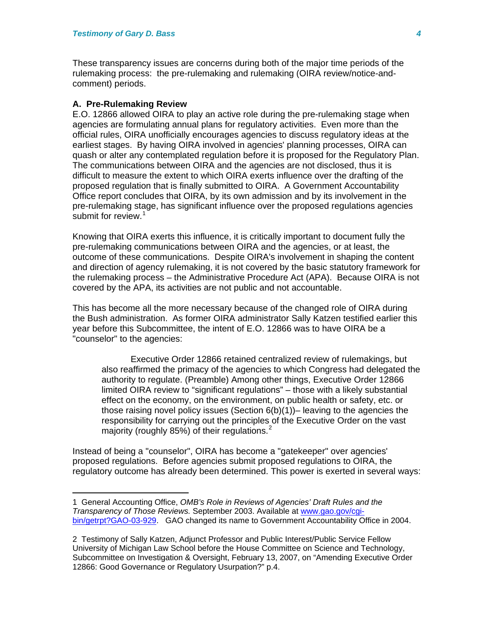These transparency issues are concerns during both of the major time periods of the rulemaking process: the pre-rulemaking and rulemaking (OIRA review/notice-andcomment) periods.

#### **A. Pre-Rulemaking Review**

 $\overline{a}$ 

E.O. 12866 allowed OIRA to play an active role during the pre-rulemaking stage when agencies are formulating annual plans for regulatory activities. Even more than the official rules, OIRA unofficially encourages agencies to discuss regulatory ideas at the earliest stages. By having OIRA involved in agencies' planning processes, OIRA can quash or alter any contemplated regulation before it is proposed for the Regulatory Plan. The communications between OIRA and the agencies are not disclosed, thus it is difficult to measure the extent to which OIRA exerts influence over the drafting of the proposed regulation that is finally submitted to OIRA. A Government Accountability Office report concludes that OIRA, by its own admission and by its involvement in the pre-rulemaking stage, has significant influence over the proposed regulations agencies submit for review.<sup>[1](#page-3-0)</sup>

Knowing that OIRA exerts this influence, it is critically important to document fully the pre-rulemaking communications between OIRA and the agencies, or at least, the outcome of these communications. Despite OIRA's involvement in shaping the content and direction of agency rulemaking, it is not covered by the basic statutory framework for the rulemaking process – the Administrative Procedure Act (APA). Because OIRA is not covered by the APA, its activities are not public and not accountable.

This has become all the more necessary because of the changed role of OIRA during the Bush administration. As former OIRA administrator Sally Katzen testified earlier this year before this Subcommittee, the intent of E.O. 12866 was to have OIRA be a "counselor" to the agencies:

Executive Order 12866 retained centralized review of rulemakings, but also reaffirmed the primacy of the agencies to which Congress had delegated the authority to regulate. (Preamble) Among other things, Executive Order 12866 limited OIRA review to "significant regulations" – those with a likely substantial effect on the economy, on the environment, on public health or safety, etc. or those raising novel policy issues (Section  $6(b)(1)$ )– leaving to the agencies the responsibility for carrying out the principles of the Executive Order on the vast majority (roughly 85%) of their regulations.<sup>[2](#page-3-1)</sup>

Instead of being a "counselor", OIRA has become a "gatekeeper" over agencies' proposed regulations. Before agencies submit proposed regulations to OIRA, the regulatory outcome has already been determined. This power is exerted in several ways:

<span id="page-3-0"></span><sup>1</sup> General Accounting Office, *OMB's Role in Reviews of Agencies' Draft Rules and the Transparency of Those Reviews.* September 2003. Available at [www.gao.gov/cgi](http://www.gao.gov/cgi-bin/getrpt?GAO-03-929)[bin/getrpt?GAO-03-929.](http://www.gao.gov/cgi-bin/getrpt?GAO-03-929) GAO changed its name to Government Accountability Office in 2004.

<span id="page-3-1"></span><sup>2</sup> Testimony of Sally Katzen, Adjunct Professor and Public Interest/Public Service Fellow University of Michigan Law School before the House Committee on Science and Technology, Subcommittee on Investigation & Oversight, February 13, 2007, on "Amending Executive Order 12866: Good Governance or Regulatory Usurpation?" p.4.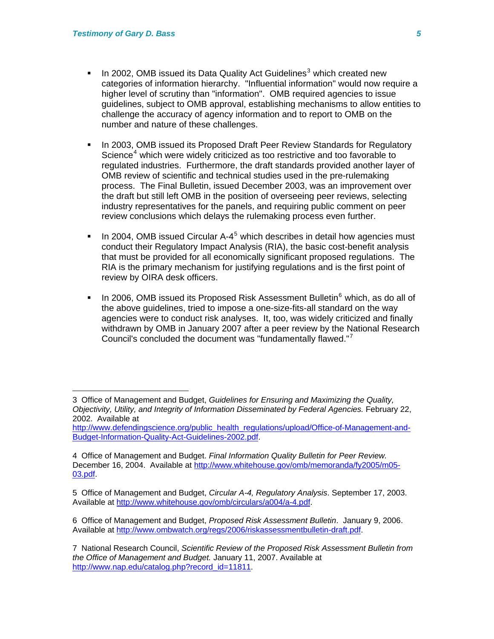$\overline{a}$ 

- In 2002, OMB issued its Data Quality Act Guidelines<sup>[3](#page-4-0)</sup> which created new categories of information hierarchy. "Influential information" would now require a higher level of scrutiny than "information". OMB required agencies to issue guidelines, subject to OMB approval, establishing mechanisms to allow entities to challenge the accuracy of agency information and to report to OMB on the number and nature of these challenges.
- In 2003, OMB issued its Proposed Draft Peer Review Standards for Regulatory Science<sup>[4](#page-4-1)</sup> which were widely criticized as too restrictive and too favorable to regulated industries. Furthermore, the draft standards provided another layer of OMB review of scientific and technical studies used in the pre-rulemaking process. The Final Bulletin, issued December 2003, was an improvement over the draft but still left OMB in the position of overseeing peer reviews, selecting industry representatives for the panels, and requiring public comment on peer review conclusions which delays the rulemaking process even further.
- In 2004, OMB issued Circular A-4<sup>[5](#page-4-2)</sup> which describes in detail how agencies must conduct their Regulatory Impact Analysis (RIA), the basic cost-benefit analysis that must be provided for all economically significant proposed regulations. The RIA is the primary mechanism for justifying regulations and is the first point of review by OIRA desk officers.
- In 200[6](#page-4-3), OMB issued its Proposed Risk Assessment Bulletin $<sup>6</sup>$  which, as do all of</sup> the above guidelines, tried to impose a one-size-fits-all standard on the way agencies were to conduct risk analyses. It, too, was widely criticized and finally withdrawn by OMB in January 2007 after a peer review by the National Research Council's concluded the document was "fundamentally flawed."[7](#page-4-4)

<span id="page-4-0"></span><sup>3</sup> Office of Management and Budget, *Guidelines for Ensuring and Maximizing the Quality, Objectivity, Utility, and Integrity of Information Disseminated by Federal Agencies.* February 22, 2002. Available at

[http://www.defendingscience.org/public\\_health\\_regulations/upload/Office-of-Management-and-](http://www.defendingscience.org/public_health_regulations/upload/Office-of-Management-and-Budget-Information-Quality-Act-Guidelines-2002.pdf)[Budget-Information-Quality-Act-Guidelines-2002.pdf](http://www.defendingscience.org/public_health_regulations/upload/Office-of-Management-and-Budget-Information-Quality-Act-Guidelines-2002.pdf).

<span id="page-4-1"></span><sup>4</sup> Office of Management and Budget. *Final Information Quality Bulletin for Peer Review.* December 16, 2004. Available at [http://www.whitehouse.gov/omb/memoranda/fy2005/m05-](http://www.whitehouse.gov/omb/memoranda/fy2005/m05-03.pdf) [03.pdf.](http://www.whitehouse.gov/omb/memoranda/fy2005/m05-03.pdf)

<span id="page-4-2"></span><sup>5</sup> Office of Management and Budget, *Circular A-4, Regulatory Analysis*. September 17, 2003. Available at [http://www.whitehouse.gov/omb/circulars/a004/a-4.pdf.](http://www.whitehouse.gov/omb/circulars/a004/a-4.pdf)

<span id="page-4-3"></span><sup>6</sup> Office of Management and Budget, *Proposed Risk Assessment Bulletin*. January 9, 2006. Available at<http://www.ombwatch.org/regs/2006/riskassessmentbulletin-draft.pdf>.

<span id="page-4-4"></span><sup>7</sup> National Research Council, *Scientific Review of the Proposed Risk Assessment Bulletin from the Office of Management and Budget.* January 11, 2007. Available at [http://www.nap.edu/catalog.php?record\\_id=11811.](http://www.nap.edu/catalog.php?record_id=11811)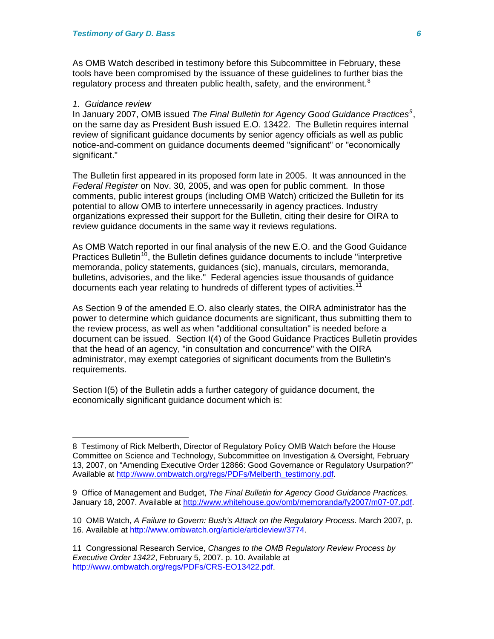As OMB Watch described in testimony before this Subcommittee in February, these tools have been compromised by the issuance of these guidelines to further bias the regulatory process and threaten public health, safety, and the environment. $8$ 

#### *1. Guidance review*

 $\overline{a}$ 

In January 2007, OMB issued *The Final Bulletin for Agency Good Guidance Practices[9](#page-5-1)* , on the same day as President Bush issued E.O. 13422. The Bulletin requires internal review of significant guidance documents by senior agency officials as well as public notice-and-comment on guidance documents deemed "significant" or "economically significant."

The Bulletin first appeared in its proposed form late in 2005. It was announced in the *Federal Register* on Nov. 30, 2005, and was open for public comment. In those comments, public interest groups (including OMB Watch) criticized the Bulletin for its potential to allow OMB to interfere unnecessarily in agency practices. Industry organizations expressed their support for the Bulletin, citing their desire for OIRA to review guidance documents in the same way it reviews regulations.

As OMB Watch reported in our final analysis of the new E.O. and the Good Guidance Practices Bulletin<sup>[10](#page-5-2)</sup>, the Bulletin defines guidance documents to include "interpretive" memoranda, policy statements, guidances (sic), manuals, circulars, memoranda, bulletins, advisories, and the like." Federal agencies issue thousands of guidance documents each year relating to hundreds of different types of activities.<sup>[11](#page-5-3)</sup>

As Section 9 of the amended E.O. also clearly states, the OIRA administrator has the power to determine which guidance documents are significant, thus submitting them to the review process, as well as when "additional consultation" is needed before a document can be issued. Section I(4) of the Good Guidance Practices Bulletin provides that the head of an agency, "in consultation and concurrence" with the OIRA administrator, may exempt categories of significant documents from the Bulletin's requirements.

Section I(5) of the Bulletin adds a further category of guidance document, the economically significant guidance document which is:

<span id="page-5-0"></span><sup>8</sup> Testimony of Rick Melberth, Director of Regulatory Policy OMB Watch before the House Committee on Science and Technology, Subcommittee on Investigation & Oversight, February 13, 2007, on "Amending Executive Order 12866: Good Governance or Regulatory Usurpation?" Available at [http://www.ombwatch.org/regs/PDFs/Melberth\\_testimony.pdf.](http://www.ombwatch.org/regs/PDFs/Melberth_testimony.pdf)

<span id="page-5-1"></span><sup>9</sup> Office of Management and Budget, *The Final Bulletin for Agency Good Guidance Practices.* January 18, 2007. Available at [http://www.whitehouse.gov/omb/memoranda/fy2007/m07-07.pdf.](http://www.whitehouse.gov/omb/memoranda/fy2007/m07-07.pdf)

<span id="page-5-2"></span><sup>10</sup> OMB Watch, *A Failure to Govern: Bush's Attack on the Regulatory Process*. March 2007, p. 16. Available at<http://www.ombwatch.org/article/articleview/3774>.

<span id="page-5-3"></span><sup>11</sup> Congressional Research Service, *Changes to the OMB Regulatory Review Process by Executive Order 13422*, February 5, 2007. p. 10. Available at <http://www.ombwatch.org/regs/PDFs/CRS-EO13422.pdf>.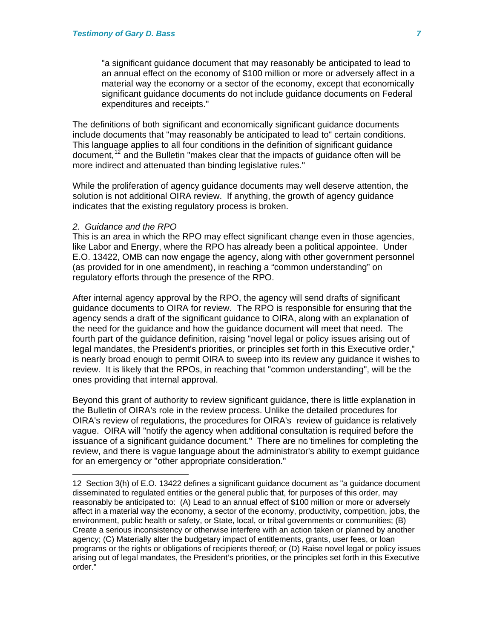"a significant guidance document that may reasonably be anticipated to lead to an annual effect on the economy of \$100 million or more or adversely affect in a material way the economy or a sector of the economy, except that economically significant guidance documents do not include guidance documents on Federal expenditures and receipts."

The definitions of both significant and economically significant guidance documents include documents that "may reasonably be anticipated to lead to" certain conditions. This language applies to all four conditions in the definition of significant guidance document,<sup>[12](#page-6-0)</sup> and the Bulletin "makes clear that the impacts of quidance often will be more indirect and attenuated than binding legislative rules."

While the proliferation of agency guidance documents may well deserve attention, the solution is not additional OIRA review. If anything, the growth of agency guidance indicates that the existing regulatory process is broken.

#### *2. Guidance and the RPO*

 $\overline{a}$ 

This is an area in which the RPO may effect significant change even in those agencies, like Labor and Energy, where the RPO has already been a political appointee. Under E.O. 13422, OMB can now engage the agency, along with other government personnel (as provided for in one amendment), in reaching a "common understanding" on regulatory efforts through the presence of the RPO.

After internal agency approval by the RPO, the agency will send drafts of significant guidance documents to OIRA for review. The RPO is responsible for ensuring that the agency sends a draft of the significant guidance to OIRA, along with an explanation of the need for the guidance and how the guidance document will meet that need. The fourth part of the guidance definition, raising "novel legal or policy issues arising out of legal mandates, the President's priorities, or principles set forth in this Executive order," is nearly broad enough to permit OIRA to sweep into its review any guidance it wishes to review. It is likely that the RPOs, in reaching that "common understanding", will be the ones providing that internal approval.

Beyond this grant of authority to review significant guidance, there is little explanation in the Bulletin of OIRA's role in the review process. Unlike the detailed procedures for OIRA's review of regulations, the procedures for OIRA's review of guidance is relatively vague. OIRA will "notify the agency when additional consultation is required before the issuance of a significant guidance document." There are no timelines for completing the review, and there is vague language about the administrator's ability to exempt guidance for an emergency or "other appropriate consideration."

<span id="page-6-0"></span><sup>12</sup> Section 3(h) of E.O. 13422 defines a significant guidance document as "a guidance document disseminated to regulated entities or the general public that, for purposes of this order, may reasonably be anticipated to: (A) Lead to an annual effect of \$100 million or more or adversely affect in a material way the economy, a sector of the economy, productivity, competition, jobs, the environment, public health or safety, or State, local, or tribal governments or communities; (B) Create a serious inconsistency or otherwise interfere with an action taken or planned by another agency; (C) Materially alter the budgetary impact of entitlements, grants, user fees, or loan programs or the rights or obligations of recipients thereof; or (D) Raise novel legal or policy issues arising out of legal mandates, the President's priorities, or the principles set forth in this Executive order."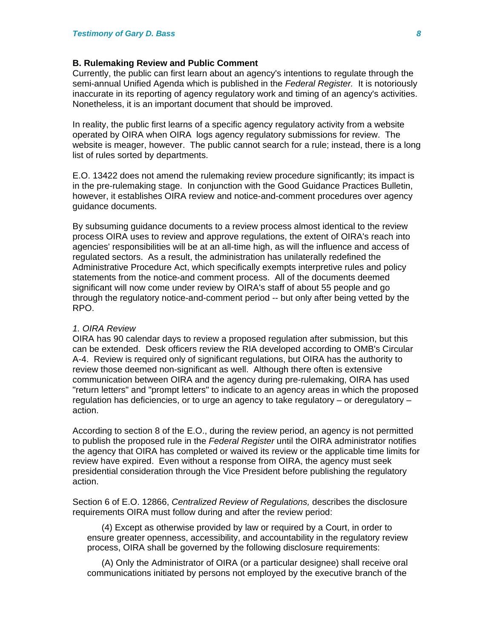### **B. Rulemaking Review and Public Comment**

Currently, the public can first learn about an agency's intentions to regulate through the semi-annual Unified Agenda which is published in the *Federal Register.* It is notoriously inaccurate in its reporting of agency regulatory work and timing of an agency's activities. Nonetheless, it is an important document that should be improved.

In reality, the public first learns of a specific agency regulatory activity from a website operated by OIRA when OIRA logs agency regulatory submissions for review. The website is meager, however. The public cannot search for a rule; instead, there is a long list of rules sorted by departments.

E.O. 13422 does not amend the rulemaking review procedure significantly; its impact is in the pre-rulemaking stage. In conjunction with the Good Guidance Practices Bulletin, however, it establishes OIRA review and notice-and-comment procedures over agency guidance documents.

By subsuming guidance documents to a review process almost identical to the review process OIRA uses to review and approve regulations, the extent of OIRA's reach into agencies' responsibilities will be at an all-time high, as will the influence and access of regulated sectors. As a result, the administration has unilaterally redefined the Administrative Procedure Act, which specifically exempts interpretive rules and policy statements from the notice-and comment process. All of the documents deemed significant will now come under review by OIRA's staff of about 55 people and go through the regulatory notice-and-comment period -- but only after being vetted by the RPO.

#### *1. OIRA Review*

OIRA has 90 calendar days to review a proposed regulation after submission, but this can be extended. Desk officers review the RIA developed according to OMB's Circular A-4. Review is required only of significant regulations, but OIRA has the authority to review those deemed non-significant as well. Although there often is extensive communication between OIRA and the agency during pre-rulemaking, OIRA has used "return letters" and "prompt letters" to indicate to an agency areas in which the proposed regulation has deficiencies, or to urge an agency to take regulatory – or deregulatory – action.

According to section 8 of the E.O., during the review period, an agency is not permitted to publish the proposed rule in the *Federal Register* until the OIRA administrator notifies the agency that OIRA has completed or waived its review or the applicable time limits for review have expired. Even without a response from OIRA, the agency must seek presidential consideration through the Vice President before publishing the regulatory action.

Section 6 of E.O. 12866, *Centralized Review of Regulations,* describes the disclosure requirements OIRA must follow during and after the review period:

(4) Except as otherwise provided by law or required by a Court, in order to ensure greater openness, accessibility, and accountability in the regulatory review process, OIRA shall be governed by the following disclosure requirements:

(A) Only the Administrator of OIRA (or a particular designee) shall receive oral communications initiated by persons not employed by the executive branch of the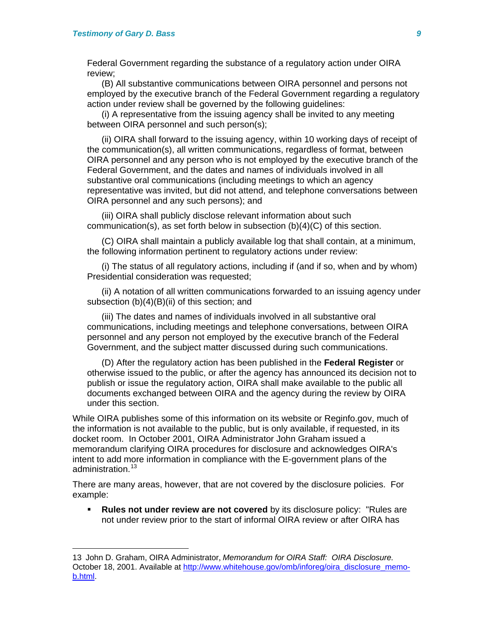$\overline{a}$ 

Federal Government regarding the substance of a regulatory action under OIRA review;

(B) All substantive communications between OIRA personnel and persons not employed by the executive branch of the Federal Government regarding a regulatory action under review shall be governed by the following quidelines:

(i) A representative from the issuing agency shall be invited to any meeting between OIRA personnel and such person(s);

(ii) OIRA shall forward to the issuing agency, within 10 working days of receipt of the communication(s), all written communications, regardless of format, between OIRA personnel and any person who is not employed by the executive branch of the Federal Government, and the dates and names of individuals involved in all substantive oral communications (including meetings to which an agency representative was invited, but did not attend, and telephone conversations between OIRA personnel and any such persons); and

(iii) OIRA shall publicly disclose relevant information about such communication(s), as set forth below in subsection (b)(4)(C) of this section.

(C) OIRA shall maintain a publicly available log that shall contain, at a minimum, the following information pertinent to regulatory actions under review:

(i) The status of all regulatory actions, including if (and if so, when and by whom) Presidential consideration was requested;

(ii) A notation of all written communications forwarded to an issuing agency under subsection (b)(4)(B)(ii) of this section; and

(iii) The dates and names of individuals involved in all substantive oral communications, including meetings and telephone conversations, between OIRA personnel and any person not employed by the executive branch of the Federal Government, and the subject matter discussed during such communications.

(D) After the regulatory action has been published in the **Federal Register** or otherwise issued to the public, or after the agency has announced its decision not to publish or issue the regulatory action, OIRA shall make available to the public all documents exchanged between OIRA and the agency during the review by OIRA under this section.

While OIRA publishes some of this information on its website or Reginfo.gov, much of the information is not available to the public, but is only available, if requested, in its docket room. In October 2001, OIRA Administrator John Graham issued a memorandum clarifying OIRA procedures for disclosure and acknowledges OIRA's intent to add more information in compliance with the E-government plans of the administration.<sup>[13](#page-8-0)</sup>

There are many areas, however, that are not covered by the disclosure policies. For example:

 **Rules not under review are not covered** by its disclosure policy: "Rules are not under review prior to the start of informal OIRA review or after OIRA has

<span id="page-8-0"></span><sup>13</sup> John D. Graham, OIRA Administrator, *Memorandum for OIRA Staff: OIRA Disclosure.* October 18, 2001. Available at [http://www.whitehouse.gov/omb/inforeg/oira\\_disclosure\\_memo](http://www.whitehouse.gov/omb/inforeg/oira_disclosure_memo-b.html)[b.html](http://www.whitehouse.gov/omb/inforeg/oira_disclosure_memo-b.html).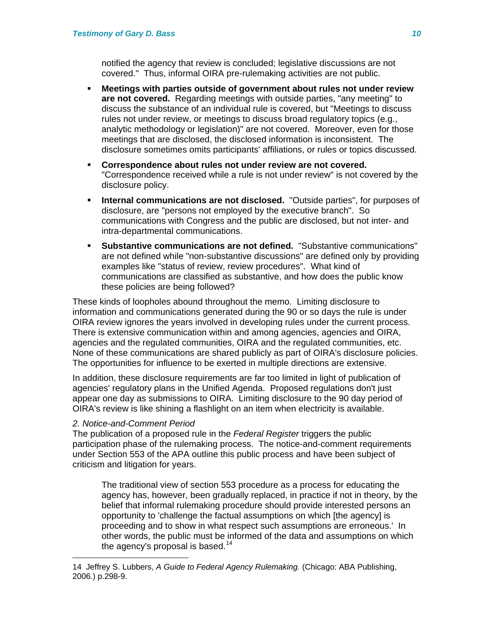notified the agency that review is concluded; legislative discussions are not covered." Thus, informal OIRA pre-rulemaking activities are not public.

- **Meetings with parties outside of government about rules not under review are not covered.** Regarding meetings with outside parties, "any meeting" to discuss the substance of an individual rule is covered, but "Meetings to discuss rules not under review, or meetings to discuss broad regulatory topics (e.g., analytic methodology or legislation)" are not covered. Moreover, even for those meetings that are disclosed, the disclosed information is inconsistent. The disclosure sometimes omits participants' affiliations, or rules or topics discussed.
- **Correspondence about rules not under review are not covered.**  "Correspondence received while a rule is not under review" is not covered by the disclosure policy.
- **Internal communications are not disclosed.** "Outside parties", for purposes of disclosure, are "persons not employed by the executive branch". So communications with Congress and the public are disclosed, but not inter- and intra-departmental communications.
- **Substantive communications are not defined.** "Substantive communications" are not defined while "non-substantive discussions" are defined only by providing examples like "status of review, review procedures". What kind of communications are classified as substantive, and how does the public know these policies are being followed?

These kinds of loopholes abound throughout the memo. Limiting disclosure to information and communications generated during the 90 or so days the rule is under OIRA review ignores the years involved in developing rules under the current process. There is extensive communication within and among agencies, agencies and OIRA, agencies and the regulated communities, OIRA and the regulated communities, etc. None of these communications are shared publicly as part of OIRA's disclosure policies. The opportunities for influence to be exerted in multiple directions are extensive.

In addition, these disclosure requirements are far too limited in light of publication of agencies' regulatory plans in the Unified Agenda. Proposed regulations don't just appear one day as submissions to OIRA. Limiting disclosure to the 90 day period of OIRA's review is like shining a flashlight on an item when electricity is available.

# *2. Notice-and-Comment Period*

 $\overline{a}$ 

The publication of a proposed rule in the *Federal Register* triggers the public participation phase of the rulemaking process. The notice-and-comment requirements under Section 553 of the APA outline this public process and have been subject of criticism and litigation for years.

The traditional view of section 553 procedure as a process for educating the agency has, however, been gradually replaced, in practice if not in theory, by the belief that informal rulemaking procedure should provide interested persons an opportunity to 'challenge the factual assumptions on which [the agency] is proceeding and to show in what respect such assumptions are erroneous.' In other words, the public must be informed of the data and assumptions on which the agency's proposal is based.<sup>[14](#page-9-0)</sup>

<span id="page-9-0"></span><sup>14</sup> Jeffrey S. Lubbers, *A Guide to Federal Agency Rulemaking.* (Chicago: ABA Publishing, 2006.) p.298-9.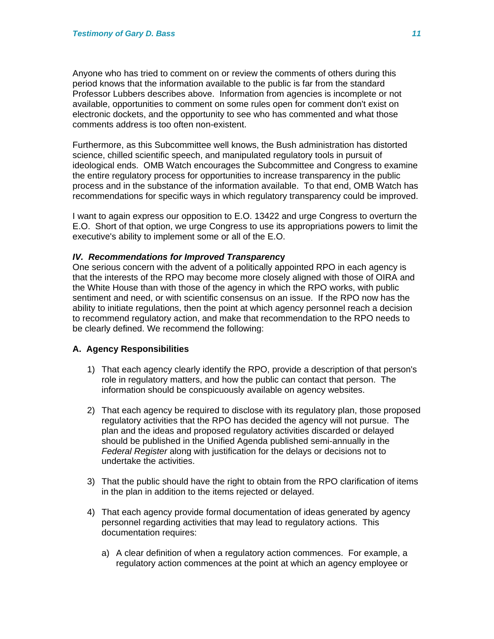Anyone who has tried to comment on or review the comments of others during this period knows that the information available to the public is far from the standard Professor Lubbers describes above. Information from agencies is incomplete or not available, opportunities to comment on some rules open for comment don't exist on electronic dockets, and the opportunity to see who has commented and what those comments address is too often non-existent.

Furthermore, as this Subcommittee well knows, the Bush administration has distorted science, chilled scientific speech, and manipulated regulatory tools in pursuit of ideological ends. OMB Watch encourages the Subcommittee and Congress to examine the entire regulatory process for opportunities to increase transparency in the public process and in the substance of the information available. To that end, OMB Watch has recommendations for specific ways in which regulatory transparency could be improved.

I want to again express our opposition to E.O. 13422 and urge Congress to overturn the E.O. Short of that option, we urge Congress to use its appropriations powers to limit the executive's ability to implement some or all of the E.O.

# *IV. Recommendations for Improved Transparenc***y**

One serious concern with the advent of a politically appointed RPO in each agency is that the interests of the RPO may become more closely aligned with those of OIRA and the White House than with those of the agency in which the RPO works, with public sentiment and need, or with scientific consensus on an issue. If the RPO now has the ability to initiate regulations, then the point at which agency personnel reach a decision to recommend regulatory action, and make that recommendation to the RPO needs to be clearly defined. We recommend the following:

# **A. Agency Responsibilities**

- 1) That each agency clearly identify the RPO, provide a description of that person's role in regulatory matters, and how the public can contact that person. The information should be conspicuously available on agency websites.
- 2) That each agency be required to disclose with its regulatory plan, those proposed regulatory activities that the RPO has decided the agency will not pursue. The plan and the ideas and proposed regulatory activities discarded or delayed should be published in the Unified Agenda published semi-annually in the *Federal Register* along with justification for the delays or decisions not to undertake the activities.
- 3) That the public should have the right to obtain from the RPO clarification of items in the plan in addition to the items rejected or delayed.
- 4) That each agency provide formal documentation of ideas generated by agency personnel regarding activities that may lead to regulatory actions. This documentation requires:
	- a) A clear definition of when a regulatory action commences. For example, a regulatory action commences at the point at which an agency employee or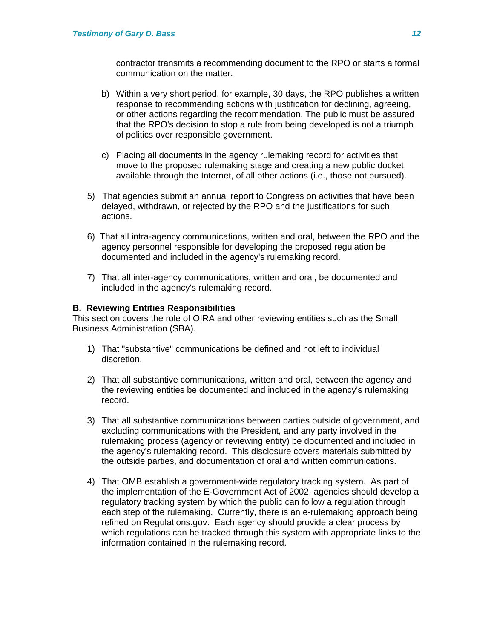contractor transmits a recommending document to the RPO or starts a formal communication on the matter.

- b) Within a very short period, for example, 30 days, the RPO publishes a written response to recommending actions with justification for declining, agreeing, or other actions regarding the recommendation. The public must be assured that the RPO's decision to stop a rule from being developed is not a triumph of politics over responsible government.
- c) Placing all documents in the agency rulemaking record for activities that move to the proposed rulemaking stage and creating a new public docket, available through the Internet, of all other actions (i.e., those not pursued).
- 5) That agencies submit an annual report to Congress on activities that have been delayed, withdrawn, or rejected by the RPO and the justifications for such actions.
- 6) That all intra-agency communications, written and oral, between the RPO and the agency personnel responsible for developing the proposed regulation be documented and included in the agency's rulemaking record.
- 7) That all inter-agency communications, written and oral, be documented and included in the agency's rulemaking record.

# **B. Reviewing Entities Responsibilities**

This section covers the role of OIRA and other reviewing entities such as the Small Business Administration (SBA).

- 1) That "substantive" communications be defined and not left to individual discretion.
- 2) That all substantive communications, written and oral, between the agency and the reviewing entities be documented and included in the agency's rulemaking record.
- 3) That all substantive communications between parties outside of government, and excluding communications with the President, and any party involved in the rulemaking process (agency or reviewing entity) be documented and included in the agency's rulemaking record. This disclosure covers materials submitted by the outside parties, and documentation of oral and written communications.
- 4) That OMB establish a government-wide regulatory tracking system. As part of the implementation of the E-Government Act of 2002, agencies should develop a regulatory tracking system by which the public can follow a regulation through each step of the rulemaking. Currently, there is an e-rulemaking approach being refined on Regulations.gov. Each agency should provide a clear process by which regulations can be tracked through this system with appropriate links to the information contained in the rulemaking record.